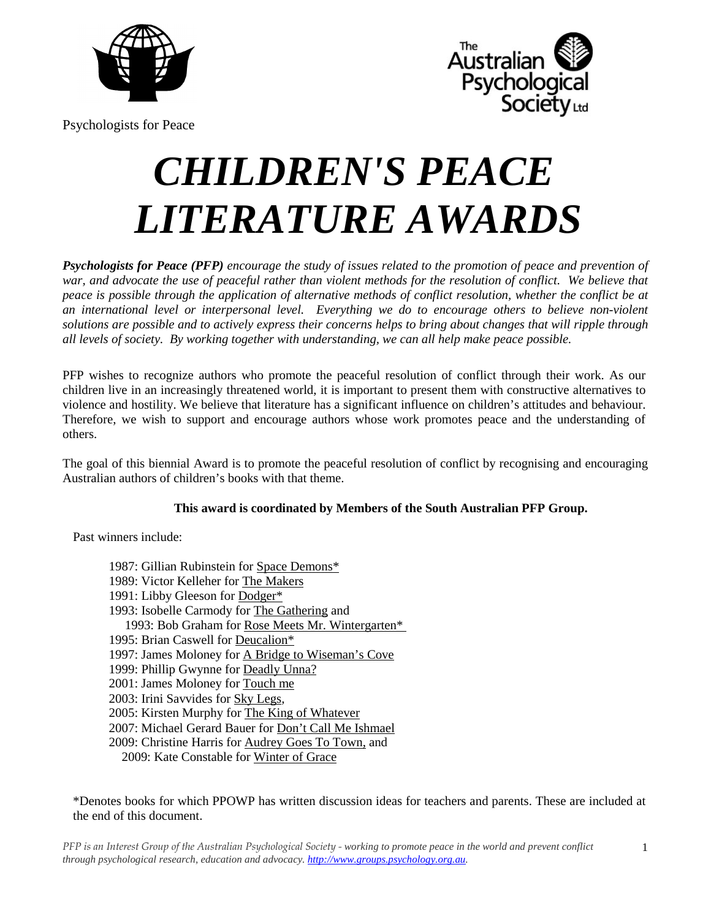



Psychologists for Peace

# *CHILDREN'S PEACE LITERATURE AWARDS*

**Psychologists for Peace (PFP)** encourage the study of issues related to the promotion of peace and prevention of *war, and advocate the use of peaceful rather than violent methods for the resolution of conflict. We believe that peace is possible through the application of alternative methods of conflict resolution, whether the conflict be at an international level or interpersonal level. Everything we do to encourage others to believe non-violent solutions are possible and to actively express their concerns helps to bring about changes that will ripple through all levels of society. By working together with understanding, we can all help make peace possible.* 

PFP wishes to recognize authors who promote the peaceful resolution of conflict through their work. As our children live in an increasingly threatened world, it is important to present them with constructive alternatives to violence and hostility. We believe that literature has a significant influence on children's attitudes and behaviour. Therefore, we wish to support and encourage authors whose work promotes peace and the understanding of others.

The goal of this biennial Award is to promote the peaceful resolution of conflict by recognising and encouraging Australian authors of children's books with that theme.

# **This award is coordinated by Members of the South Australian PFP Group.**

Past winners include:

1987: Gillian Rubinstein for Space Demons\* 1989: Victor Kelleher for The Makers 1991: Libby Gleeson for Dodger\* 1993: Isobelle Carmody for The Gathering and 1993: Bob Graham for Rose Meets Mr. Wintergarten\* 1995: Brian Caswell for Deucalion\* 1997: James Moloney for A Bridge to Wiseman's Cove 1999: Phillip Gwynne for Deadly Unna? 2001: James Moloney for Touch me 2003: Irini Savvides for Sky Legs*,*  2005: Kirsten Murphy for The King of Whatever 2007: Michael Gerard Bauer for Don't Call Me Ishmael 2009: Christine Harris for Audrey Goes To Town, and 2009: Kate Constable for Winter of Grace

\*Denotes books for which PPOWP has written discussion ideas for teachers and parents. These are included at the end of this document.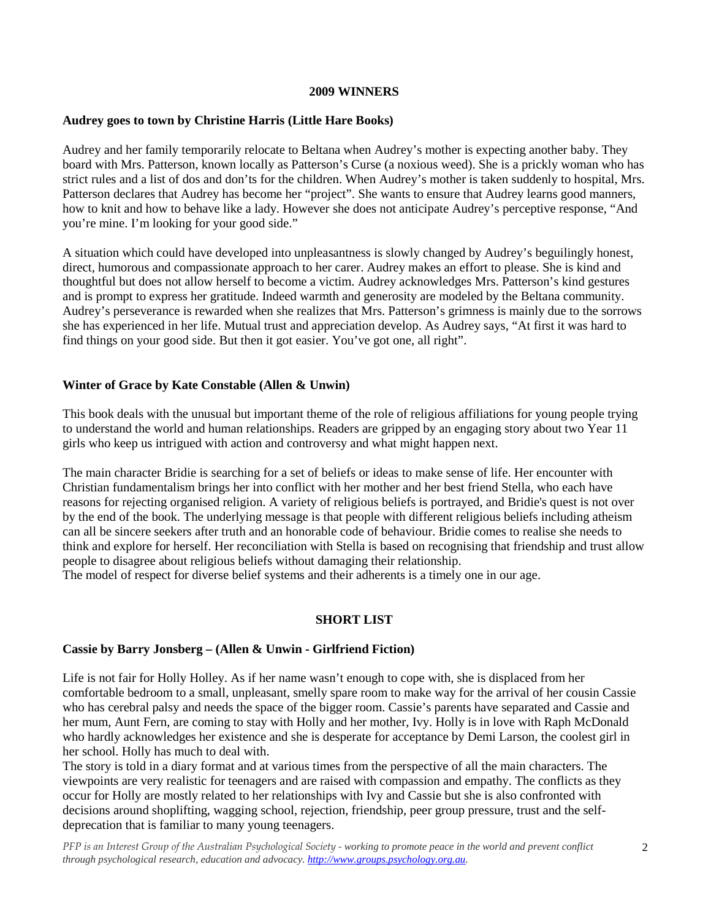#### **2009 WINNERS**

#### **Audrey goes to town by Christine Harris (Little Hare Books)**

Audrey and her family temporarily relocate to Beltana when Audrey's mother is expecting another baby. They board with Mrs. Patterson, known locally as Patterson's Curse (a noxious weed). She is a prickly woman who has strict rules and a list of dos and don'ts for the children. When Audrey's mother is taken suddenly to hospital, Mrs. Patterson declares that Audrey has become her "project". She wants to ensure that Audrey learns good manners, how to knit and how to behave like a lady. However she does not anticipate Audrey's perceptive response, "And you're mine. I'm looking for your good side."

A situation which could have developed into unpleasantness is slowly changed by Audrey's beguilingly honest, direct, humorous and compassionate approach to her carer. Audrey makes an effort to please. She is kind and thoughtful but does not allow herself to become a victim. Audrey acknowledges Mrs. Patterson's kind gestures and is prompt to express her gratitude. Indeed warmth and generosity are modeled by the Beltana community. Audrey's perseverance is rewarded when she realizes that Mrs. Patterson's grimness is mainly due to the sorrows she has experienced in her life. Mutual trust and appreciation develop. As Audrey says, "At first it was hard to find things on your good side. But then it got easier. You've got one, all right".

## **Winter of Grace by Kate Constable (Allen & Unwin)**

This book deals with the unusual but important theme of the role of religious affiliations for young people trying to understand the world and human relationships. Readers are gripped by an engaging story about two Year 11 girls who keep us intrigued with action and controversy and what might happen next.

The main character Bridie is searching for a set of beliefs or ideas to make sense of life. Her encounter with Christian fundamentalism brings her into conflict with her mother and her best friend Stella, who each have reasons for rejecting organised religion. A variety of religious beliefs is portrayed, and Bridie's quest is not over by the end of the book. The underlying message is that people with different religious beliefs including atheism can all be sincere seekers after truth and an honorable code of behaviour. Bridie comes to realise she needs to think and explore for herself. Her reconciliation with Stella is based on recognising that friendship and trust allow people to disagree about religious beliefs without damaging their relationship.

The model of respect for diverse belief systems and their adherents is a timely one in our age.

# **SHORT LIST**

#### **Cassie by Barry Jonsberg – (Allen & Unwin - Girlfriend Fiction)**

Life is not fair for Holly Holley. As if her name wasn't enough to cope with, she is displaced from her comfortable bedroom to a small, unpleasant, smelly spare room to make way for the arrival of her cousin Cassie who has cerebral palsy and needs the space of the bigger room. Cassie's parents have separated and Cassie and her mum, Aunt Fern, are coming to stay with Holly and her mother, Ivy. Holly is in love with Raph McDonald who hardly acknowledges her existence and she is desperate for acceptance by Demi Larson, the coolest girl in her school. Holly has much to deal with.

The story is told in a diary format and at various times from the perspective of all the main characters. The viewpoints are very realistic for teenagers and are raised with compassion and empathy. The conflicts as they occur for Holly are mostly related to her relationships with Ivy and Cassie but she is also confronted with decisions around shoplifting, wagging school, rejection, friendship, peer group pressure, trust and the selfdeprecation that is familiar to many young teenagers.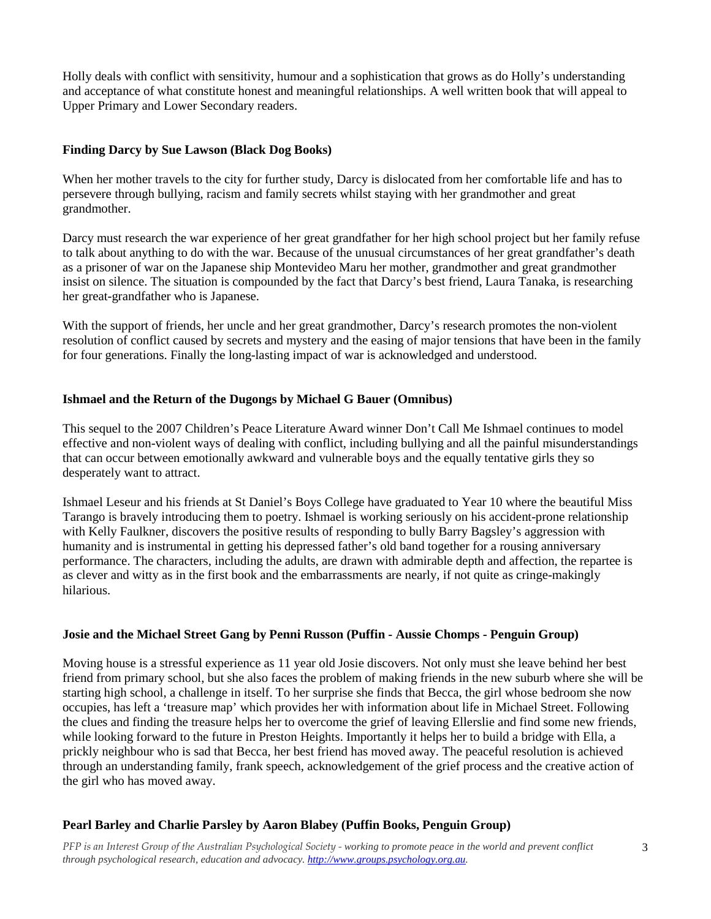Holly deals with conflict with sensitivity, humour and a sophistication that grows as do Holly's understanding and acceptance of what constitute honest and meaningful relationships. A well written book that will appeal to Upper Primary and Lower Secondary readers.

# **Finding Darcy by Sue Lawson (Black Dog Books)**

When her mother travels to the city for further study, Darcy is dislocated from her comfortable life and has to persevere through bullying, racism and family secrets whilst staying with her grandmother and great grandmother.

Darcy must research the war experience of her great grandfather for her high school project but her family refuse to talk about anything to do with the war. Because of the unusual circumstances of her great grandfather's death as a prisoner of war on the Japanese ship Montevideo Maru her mother, grandmother and great grandmother insist on silence. The situation is compounded by the fact that Darcy's best friend, Laura Tanaka, is researching her great-grandfather who is Japanese.

With the support of friends, her uncle and her great grandmother, Darcy's research promotes the non-violent resolution of conflict caused by secrets and mystery and the easing of major tensions that have been in the family for four generations. Finally the long-lasting impact of war is acknowledged and understood.

# **Ishmael and the Return of the Dugongs by Michael G Bauer (Omnibus)**

This sequel to the 2007 Children's Peace Literature Award winner Don't Call Me Ishmael continues to model effective and non-violent ways of dealing with conflict, including bullying and all the painful misunderstandings that can occur between emotionally awkward and vulnerable boys and the equally tentative girls they so desperately want to attract.

Ishmael Leseur and his friends at St Daniel's Boys College have graduated to Year 10 where the beautiful Miss Tarango is bravely introducing them to poetry. Ishmael is working seriously on his accident-prone relationship with Kelly Faulkner, discovers the positive results of responding to bully Barry Bagsley's aggression with humanity and is instrumental in getting his depressed father's old band together for a rousing anniversary performance. The characters, including the adults, are drawn with admirable depth and affection, the repartee is as clever and witty as in the first book and the embarrassments are nearly, if not quite as cringe-makingly hilarious.

# **Josie and the Michael Street Gang by Penni Russon (Puffin - Aussie Chomps - Penguin Group)**

Moving house is a stressful experience as 11 year old Josie discovers. Not only must she leave behind her best friend from primary school, but she also faces the problem of making friends in the new suburb where she will be starting high school, a challenge in itself. To her surprise she finds that Becca, the girl whose bedroom she now occupies, has left a 'treasure map' which provides her with information about life in Michael Street. Following the clues and finding the treasure helps her to overcome the grief of leaving Ellerslie and find some new friends, while looking forward to the future in Preston Heights. Importantly it helps her to build a bridge with Ella, a prickly neighbour who is sad that Becca, her best friend has moved away. The peaceful resolution is achieved through an understanding family, frank speech, acknowledgement of the grief process and the creative action of the girl who has moved away.

# **Pearl Barley and Charlie Parsley by Aaron Blabey (Puffin Books, Penguin Group)**

*PFP is an Interest Group of the Australian Psychological Society - working to promote peace in the world and prevent conflict through psychological research, education and advocacy. [http://www.groups.psychology.org.au.](http://www.groups.psychology.org.au/)*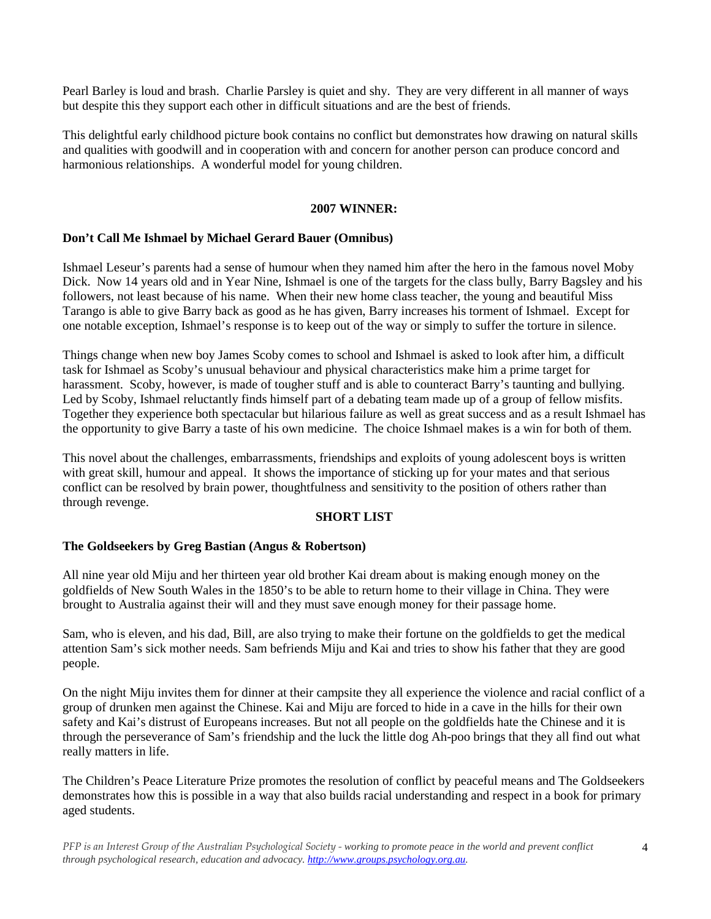Pearl Barley is loud and brash. Charlie Parsley is quiet and shy. They are very different in all manner of ways but despite this they support each other in difficult situations and are the best of friends.

This delightful early childhood picture book contains no conflict but demonstrates how drawing on natural skills and qualities with goodwill and in cooperation with and concern for another person can produce concord and harmonious relationships. A wonderful model for young children.

#### **2007 WINNER:**

# **Don't Call Me Ishmael by Michael Gerard Bauer (Omnibus)**

Ishmael Leseur's parents had a sense of humour when they named him after the hero in the famous novel Moby Dick. Now 14 years old and in Year Nine, Ishmael is one of the targets for the class bully, Barry Bagsley and his followers, not least because of his name. When their new home class teacher, the young and beautiful Miss Tarango is able to give Barry back as good as he has given, Barry increases his torment of Ishmael. Except for one notable exception, Ishmael's response is to keep out of the way or simply to suffer the torture in silence.

Things change when new boy James Scoby comes to school and Ishmael is asked to look after him, a difficult task for Ishmael as Scoby's unusual behaviour and physical characteristics make him a prime target for harassment. Scoby, however, is made of tougher stuff and is able to counteract Barry's taunting and bullying. Led by Scoby, Ishmael reluctantly finds himself part of a debating team made up of a group of fellow misfits. Together they experience both spectacular but hilarious failure as well as great success and as a result Ishmael has the opportunity to give Barry a taste of his own medicine. The choice Ishmael makes is a win for both of them.

This novel about the challenges, embarrassments, friendships and exploits of young adolescent boys is written with great skill, humour and appeal. It shows the importance of sticking up for your mates and that serious conflict can be resolved by brain power, thoughtfulness and sensitivity to the position of others rather than through revenge.

# **SHORT LIST**

# **The Goldseekers by Greg Bastian (Angus & Robertson)**

All nine year old Miju and her thirteen year old brother Kai dream about is making enough money on the goldfields of New South Wales in the 1850's to be able to return home to their village in China. They were brought to Australia against their will and they must save enough money for their passage home.

Sam, who is eleven, and his dad, Bill, are also trying to make their fortune on the goldfields to get the medical attention Sam's sick mother needs. Sam befriends Miju and Kai and tries to show his father that they are good people.

On the night Miju invites them for dinner at their campsite they all experience the violence and racial conflict of a group of drunken men against the Chinese. Kai and Miju are forced to hide in a cave in the hills for their own safety and Kai's distrust of Europeans increases. But not all people on the goldfields hate the Chinese and it is through the perseverance of Sam's friendship and the luck the little dog Ah-poo brings that they all find out what really matters in life.

The Children's Peace Literature Prize promotes the resolution of conflict by peaceful means and The Goldseekers demonstrates how this is possible in a way that also builds racial understanding and respect in a book for primary aged students.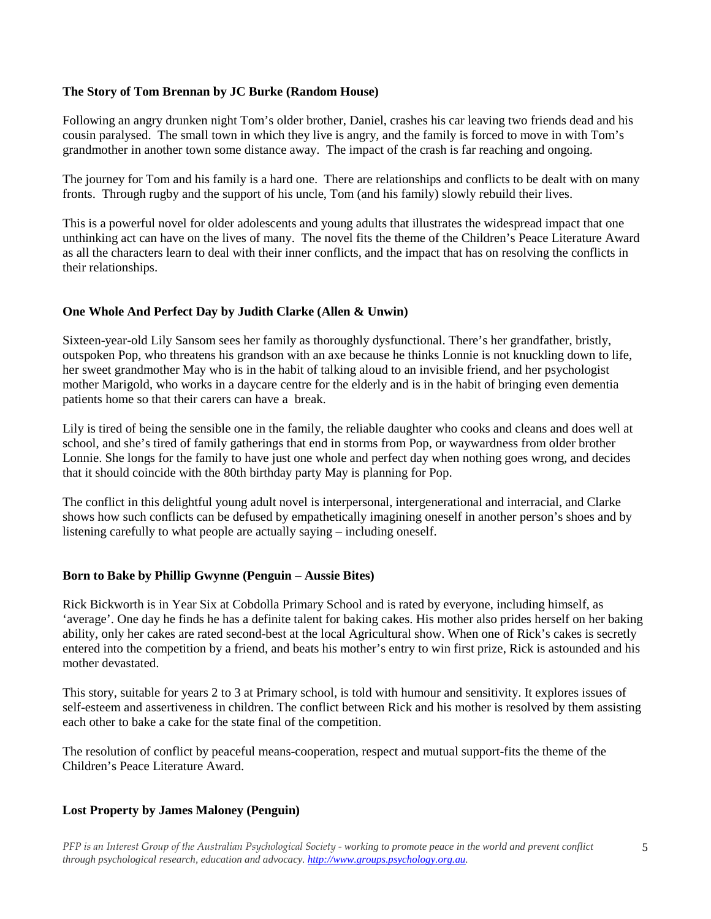# **The Story of Tom Brennan by JC Burke (Random House)**

Following an angry drunken night Tom's older brother, Daniel, crashes his car leaving two friends dead and his cousin paralysed. The small town in which they live is angry, and the family is forced to move in with Tom's grandmother in another town some distance away. The impact of the crash is far reaching and ongoing.

The journey for Tom and his family is a hard one. There are relationships and conflicts to be dealt with on many fronts. Through rugby and the support of his uncle, Tom (and his family) slowly rebuild their lives.

This is a powerful novel for older adolescents and young adults that illustrates the widespread impact that one unthinking act can have on the lives of many. The novel fits the theme of the Children's Peace Literature Award as all the characters learn to deal with their inner conflicts, and the impact that has on resolving the conflicts in their relationships.

# **One Whole And Perfect Day by Judith Clarke (Allen & Unwin)**

Sixteen-year-old Lily Sansom sees her family as thoroughly dysfunctional. There's her grandfather, bristly, outspoken Pop, who threatens his grandson with an axe because he thinks Lonnie is not knuckling down to life, her sweet grandmother May who is in the habit of talking aloud to an invisible friend, and her psychologist mother Marigold, who works in a daycare centre for the elderly and is in the habit of bringing even dementia patients home so that their carers can have a break.

Lily is tired of being the sensible one in the family, the reliable daughter who cooks and cleans and does well at school, and she's tired of family gatherings that end in storms from Pop, or waywardness from older brother Lonnie. She longs for the family to have just one whole and perfect day when nothing goes wrong, and decides that it should coincide with the 80th birthday party May is planning for Pop.

The conflict in this delightful young adult novel is interpersonal, intergenerational and interracial, and Clarke shows how such conflicts can be defused by empathetically imagining oneself in another person's shoes and by listening carefully to what people are actually saying – including oneself.

# **Born to Bake by Phillip Gwynne (Penguin – Aussie Bites)**

Rick Bickworth is in Year Six at Cobdolla Primary School and is rated by everyone, including himself, as 'average'. One day he finds he has a definite talent for baking cakes. His mother also prides herself on her baking ability, only her cakes are rated second-best at the local Agricultural show. When one of Rick's cakes is secretly entered into the competition by a friend, and beats his mother's entry to win first prize, Rick is astounded and his mother devastated.

This story, suitable for years 2 to 3 at Primary school, is told with humour and sensitivity. It explores issues of self-esteem and assertiveness in children. The conflict between Rick and his mother is resolved by them assisting each other to bake a cake for the state final of the competition.

The resolution of conflict by peaceful means-cooperation, respect and mutual support-fits the theme of the Children's Peace Literature Award.

# **Lost Property by James Maloney (Penguin)**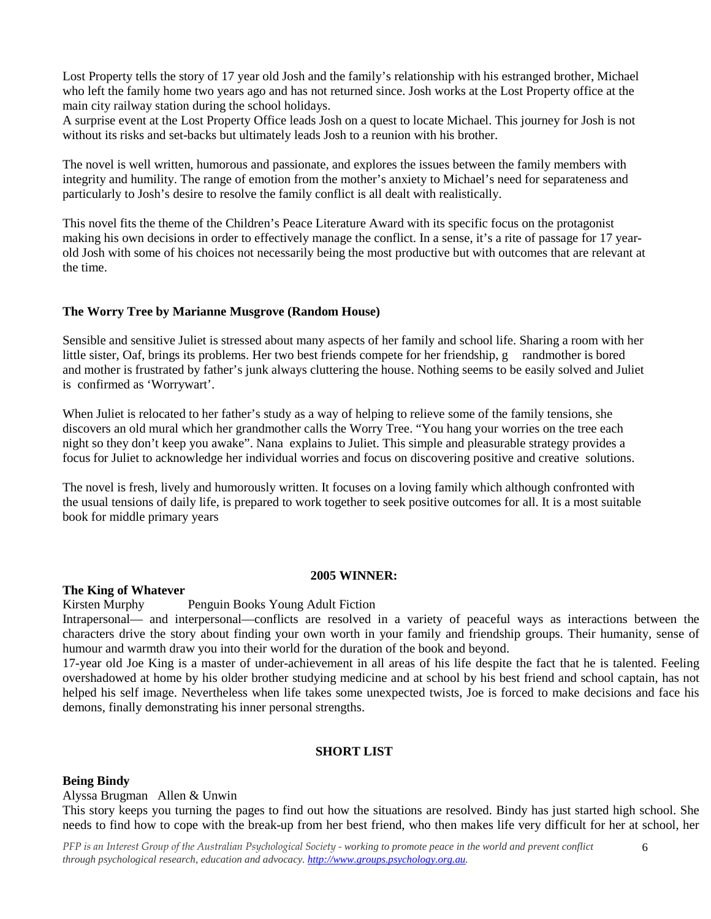Lost Property tells the story of 17 year old Josh and the family's relationship with his estranged brother, Michael who left the family home two years ago and has not returned since. Josh works at the Lost Property office at the main city railway station during the school holidays.

A surprise event at the Lost Property Office leads Josh on a quest to locate Michael. This journey for Josh is not without its risks and set-backs but ultimately leads Josh to a reunion with his brother.

The novel is well written, humorous and passionate, and explores the issues between the family members with integrity and humility. The range of emotion from the mother's anxiety to Michael's need for separateness and particularly to Josh's desire to resolve the family conflict is all dealt with realistically.

This novel fits the theme of the Children's Peace Literature Award with its specific focus on the protagonist making his own decisions in order to effectively manage the conflict. In a sense, it's a rite of passage for 17 yearold Josh with some of his choices not necessarily being the most productive but with outcomes that are relevant at the time.

## **The Worry Tree by Marianne Musgrove (Random House)**

Sensible and sensitive Juliet is stressed about many aspects of her family and school life. Sharing a room with her little sister, Oaf, brings its problems. Her two best friends compete for her friendship, g randmother is bored and mother is frustrated by father's junk always cluttering the house. Nothing seems to be easily solved and Juliet is confirmed as 'Worrywart'.

When Juliet is relocated to her father's study as a way of helping to relieve some of the family tensions, she discovers an old mural which her grandmother calls the Worry Tree. "You hang your worries on the tree each night so they don't keep you awake". Nana explains to Juliet. This simple and pleasurable strategy provides a focus for Juliet to acknowledge her individual worries and focus on discovering positive and creative solutions.

The novel is fresh, lively and humorously written. It focuses on a loving family which although confronted with the usual tensions of daily life, is prepared to work together to seek positive outcomes for all. It is a most suitable book for middle primary years

#### **2005 WINNER:**

#### **The King of Whatever**

Kirsten Murphy Penguin Books Young Adult Fiction

Intrapersonal— and interpersonal—conflicts are resolved in a variety of peaceful ways as interactions between the characters drive the story about finding your own worth in your family and friendship groups. Their humanity, sense of humour and warmth draw you into their world for the duration of the book and beyond.

17-year old Joe King is a master of under-achievement in all areas of his life despite the fact that he is talented. Feeling overshadowed at home by his older brother studying medicine and at school by his best friend and school captain, has not helped his self image. Nevertheless when life takes some unexpected twists, Joe is forced to make decisions and face his demons, finally demonstrating his inner personal strengths.

#### **SHORT LIST**

#### **Being Bindy**

Alyssa Brugman Allen & Unwin

This story keeps you turning the pages to find out how the situations are resolved. Bindy has just started high school. She needs to find how to cope with the break-up from her best friend, who then makes life very difficult for her at school, her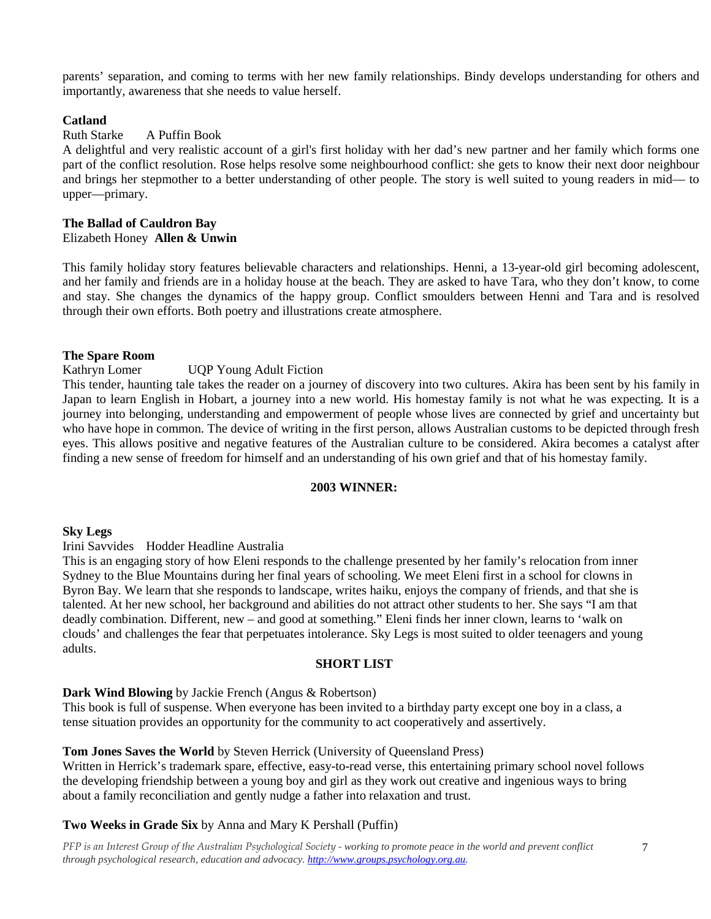parents' separation, and coming to terms with her new family relationships. Bindy develops understanding for others and importantly, awareness that she needs to value herself.

## **Catland**

# Ruth Starke A Puffin Book

A delightful and very realistic account of a girl's first holiday with her dad's new partner and her family which forms one part of the conflict resolution. Rose helps resolve some neighbourhood conflict: she gets to know their next door neighbour and brings her stepmother to a better understanding of other people. The story is well suited to young readers in mid— to upper—primary.

#### **The Ballad of Cauldron Bay** Elizabeth Honey **Allen & Unwin**

This family holiday story features believable characters and relationships. Henni, a 13-year-old girl becoming adolescent, and her family and friends are in a holiday house at the beach. They are asked to have Tara, who they don't know, to come and stay. She changes the dynamics of the happy group. Conflict smoulders between Henni and Tara and is resolved through their own efforts. Both poetry and illustrations create atmosphere.

## **The Spare Room**

# Kathryn Lomer UQP Young Adult Fiction

This tender, haunting tale takes the reader on a journey of discovery into two cultures. Akira has been sent by his family in Japan to learn English in Hobart, a journey into a new world. His homestay family is not what he was expecting. It is a journey into belonging, understanding and empowerment of people whose lives are connected by grief and uncertainty but who have hope in common. The device of writing in the first person, allows Australian customs to be depicted through fresh eyes. This allows positive and negative features of the Australian culture to be considered. Akira becomes a catalyst after finding a new sense of freedom for himself and an understanding of his own grief and that of his homestay family.

#### **2003 WINNER:**

#### **Sky Legs**

#### Irini Savvides Hodder Headline Australia

This is an engaging story of how Eleni responds to the challenge presented by her family's relocation from inner Sydney to the Blue Mountains during her final years of schooling. We meet Eleni first in a school for clowns in Byron Bay. We learn that she responds to landscape, writes haiku, enjoys the company of friends, and that she is talented. At her new school, her background and abilities do not attract other students to her. She says "I am that deadly combination. Different, new – and good at something." Eleni finds her inner clown, learns to 'walk on clouds' and challenges the fear that perpetuates intolerance. Sky Legs is most suited to older teenagers and young adults.

# **SHORT LIST**

#### **Dark Wind Blowing** by Jackie French (Angus & Robertson)

This book is full of suspense. When everyone has been invited to a birthday party except one boy in a class, a tense situation provides an opportunity for the community to act cooperatively and assertively.

#### **Tom Jones Saves the World** by Steven Herrick (University of Queensland Press)

Written in Herrick's trademark spare, effective, easy-to-read verse, this entertaining primary school novel follows the developing friendship between a young boy and girl as they work out creative and ingenious ways to bring about a family reconciliation and gently nudge a father into relaxation and trust.

# **Two Weeks in Grade Six** by Anna and Mary K Pershall (Puffin)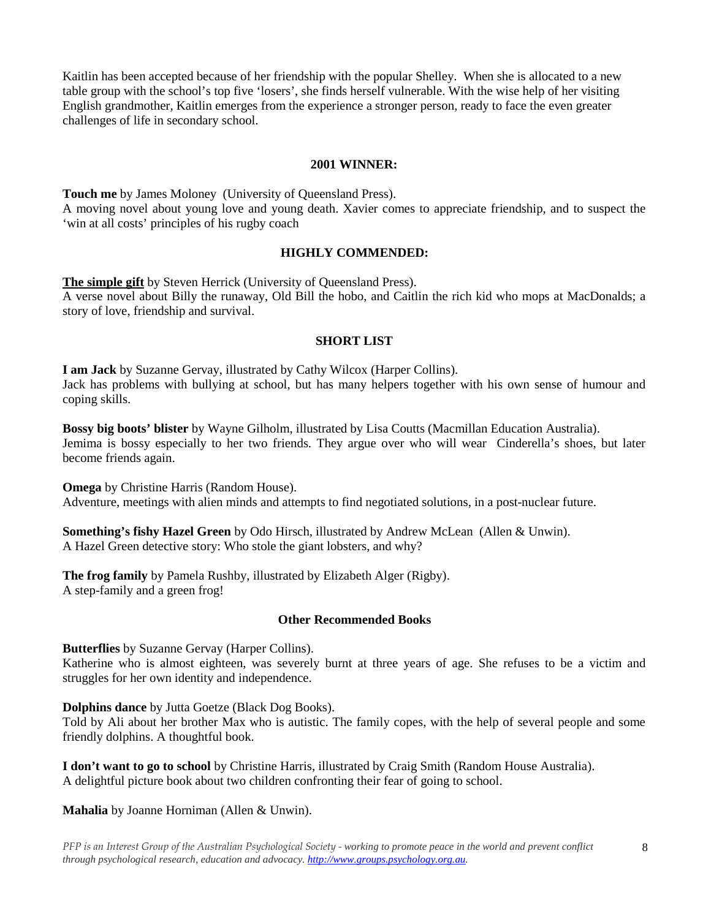Kaitlin has been accepted because of her friendship with the popular Shelley. When she is allocated to a new table group with the school's top five 'losers', she finds herself vulnerable. With the wise help of her visiting English grandmother, Kaitlin emerges from the experience a stronger person, ready to face the even greater challenges of life in secondary school.

#### **2001 WINNER:**

**Touch me** by James Moloney (University of Queensland Press). A moving novel about young love and young death. Xavier comes to appreciate friendship, and to suspect the 'win at all costs' principles of his rugby coach

#### **HIGHLY COMMENDED:**

**The simple gift** by Steven Herrick (University of Queensland Press).

A verse novel about Billy the runaway, Old Bill the hobo, and Caitlin the rich kid who mops at MacDonalds; a story of love, friendship and survival.

#### **SHORT LIST**

**I am Jack** by Suzanne Gervay, illustrated by Cathy Wilcox (Harper Collins). Jack has problems with bullying at school, but has many helpers together with his own sense of humour and coping skills.

**Bossy big boots' blister** by Wayne Gilholm, illustrated by Lisa Coutts (Macmillan Education Australia). Jemima is bossy especially to her two friends. They argue over who will wear Cinderella's shoes, but later become friends again.

**Omega** by Christine Harris (Random House). Adventure, meetings with alien minds and attempts to find negotiated solutions, in a post-nuclear future.

**Something's fishy Hazel Green** by Odo Hirsch, illustrated by Andrew McLean (Allen & Unwin). A Hazel Green detective story: Who stole the giant lobsters, and why?

**The frog family** by Pamela Rushby, illustrated by Elizabeth Alger (Rigby). A step-family and a green frog!

### **Other Recommended Books**

**Butterflies** by Suzanne Gervay (Harper Collins).

Katherine who is almost eighteen, was severely burnt at three years of age. She refuses to be a victim and struggles for her own identity and independence.

**Dolphins dance** by Jutta Goetze (Black Dog Books).

Told by Ali about her brother Max who is autistic. The family copes, with the help of several people and some friendly dolphins. A thoughtful book.

**I don't want to go to school** by Christine Harris, illustrated by Craig Smith (Random House Australia). A delightful picture book about two children confronting their fear of going to school.

**Mahalia** by Joanne Horniman (Allen & Unwin).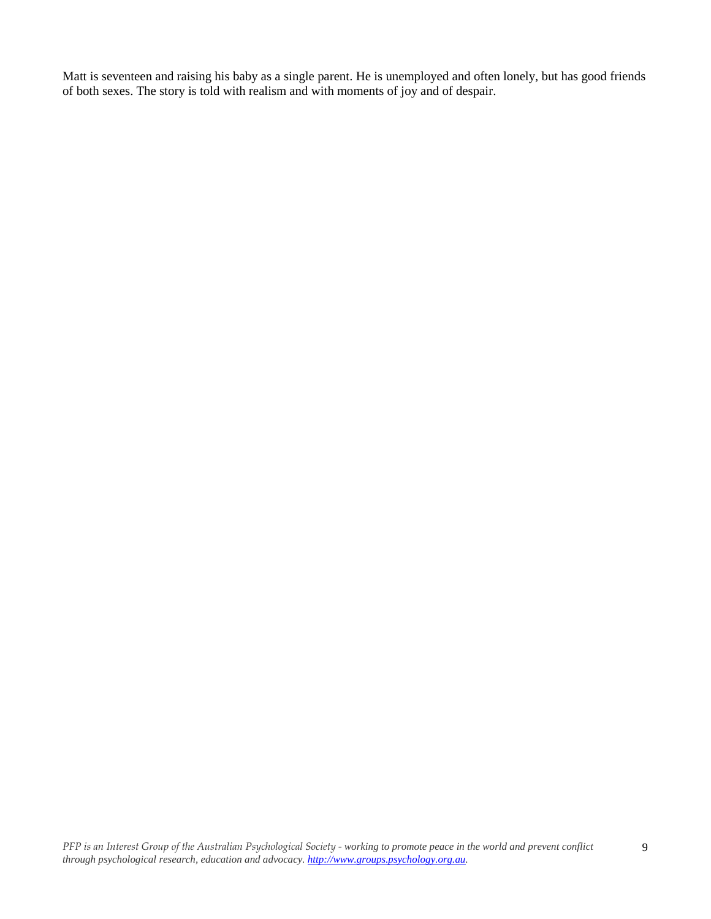Matt is seventeen and raising his baby as a single parent. He is unemployed and often lonely, but has good friends of both sexes. The story is told with realism and with moments of joy and of despair.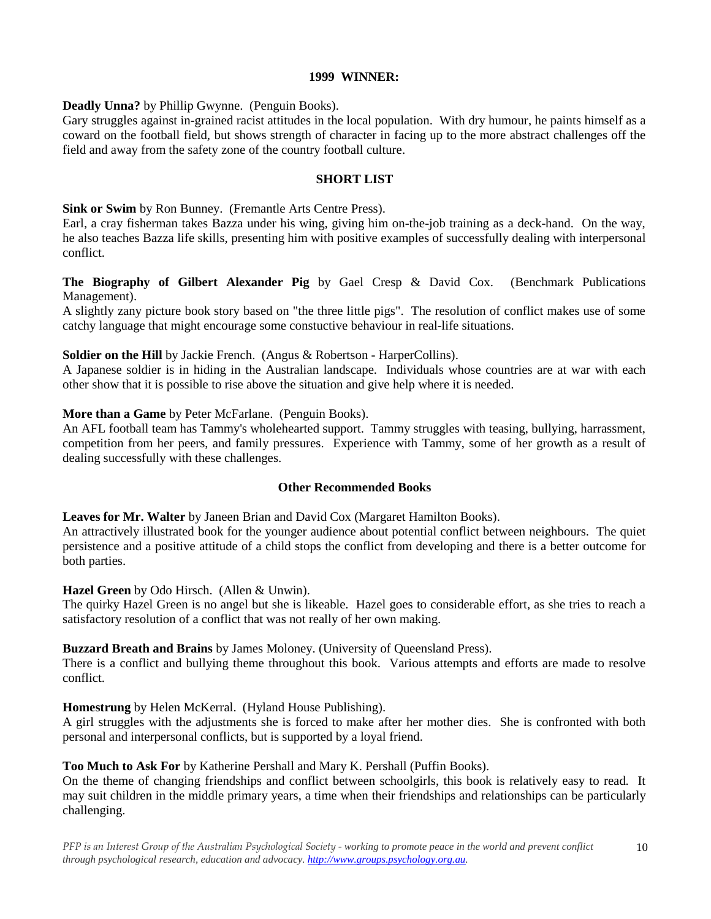#### **1999 WINNER:**

**Deadly Unna?** by Phillip Gwynne. (Penguin Books).

Gary struggles against in-grained racist attitudes in the local population. With dry humour, he paints himself as a coward on the football field, but shows strength of character in facing up to the more abstract challenges off the field and away from the safety zone of the country football culture.

### **SHORT LIST**

**Sink or Swim** by Ron Bunney. (Fremantle Arts Centre Press).

Earl, a cray fisherman takes Bazza under his wing, giving him on-the-job training as a deck-hand. On the way, he also teaches Bazza life skills, presenting him with positive examples of successfully dealing with interpersonal conflict.

**The Biography of Gilbert Alexander Pig** by Gael Cresp & David Cox. (Benchmark Publications Management).

A slightly zany picture book story based on "the three little pigs". The resolution of conflict makes use of some catchy language that might encourage some constuctive behaviour in real-life situations.

#### **Soldier on the Hill** by Jackie French. (Angus & Robertson - HarperCollins).

A Japanese soldier is in hiding in the Australian landscape. Individuals whose countries are at war with each other show that it is possible to rise above the situation and give help where it is needed.

## **More than a Game** by Peter McFarlane. (Penguin Books).

An AFL football team has Tammy's wholehearted support. Tammy struggles with teasing, bullying, harrassment, competition from her peers, and family pressures. Experience with Tammy, some of her growth as a result of dealing successfully with these challenges.

#### **Other Recommended Books**

**Leaves for Mr. Walter** by Janeen Brian and David Cox (Margaret Hamilton Books).

An attractively illustrated book for the younger audience about potential conflict between neighbours. The quiet persistence and a positive attitude of a child stops the conflict from developing and there is a better outcome for both parties.

**Hazel Green** by Odo Hirsch. (Allen & Unwin).

The quirky Hazel Green is no angel but she is likeable. Hazel goes to considerable effort, as she tries to reach a satisfactory resolution of a conflict that was not really of her own making.

#### **Buzzard Breath and Brains** by James Moloney. (University of Queensland Press).

There is a conflict and bullying theme throughout this book. Various attempts and efforts are made to resolve conflict.

#### **Homestrung** by Helen McKerral. (Hyland House Publishing).

A girl struggles with the adjustments she is forced to make after her mother dies. She is confronted with both personal and interpersonal conflicts, but is supported by a loyal friend.

#### **Too Much to Ask For** by Katherine Pershall and Mary K. Pershall (Puffin Books).

On the theme of changing friendships and conflict between schoolgirls, this book is relatively easy to read. It may suit children in the middle primary years, a time when their friendships and relationships can be particularly challenging.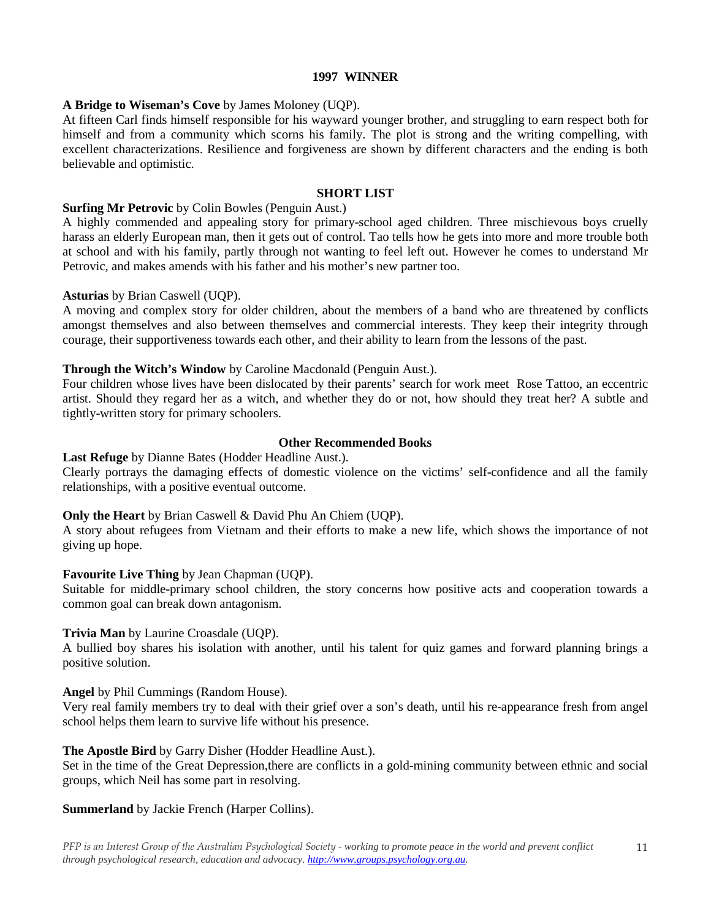#### **1997 WINNER**

## **A Bridge to Wiseman's Cove** by James Moloney (UQP).

At fifteen Carl finds himself responsible for his wayward younger brother, and struggling to earn respect both for himself and from a community which scorns his family. The plot is strong and the writing compelling, with excellent characterizations. Resilience and forgiveness are shown by different characters and the ending is both believable and optimistic.

## **SHORT LIST**

### **Surfing Mr Petrovic** by Colin Bowles (Penguin Aust.)

A highly commended and appealing story for primary-school aged children. Three mischievous boys cruelly harass an elderly European man, then it gets out of control. Tao tells how he gets into more and more trouble both at school and with his family, partly through not wanting to feel left out. However he comes to understand Mr Petrovic, and makes amends with his father and his mother's new partner too.

#### **Asturias** by Brian Caswell (UQP).

A moving and complex story for older children, about the members of a band who are threatened by conflicts amongst themselves and also between themselves and commercial interests. They keep their integrity through courage, their supportiveness towards each other, and their ability to learn from the lessons of the past.

## **Through the Witch's Window** by Caroline Macdonald (Penguin Aust.).

Four children whose lives have been dislocated by their parents' search for work meet Rose Tattoo, an eccentric artist. Should they regard her as a witch, and whether they do or not, how should they treat her? A subtle and tightly-written story for primary schoolers.

## **Other Recommended Books**

**Last Refuge** by Dianne Bates (Hodder Headline Aust.).

Clearly portrays the damaging effects of domestic violence on the victims' self-confidence and all the family relationships, with a positive eventual outcome.

#### **Only the Heart** by Brian Caswell & David Phu An Chiem (UQP).

A story about refugees from Vietnam and their efforts to make a new life, which shows the importance of not giving up hope.

#### **Favourite Live Thing** by Jean Chapman (UQP).

Suitable for middle-primary school children, the story concerns how positive acts and cooperation towards a common goal can break down antagonism.

#### **Trivia Man** by Laurine Croasdale (UQP).

A bullied boy shares his isolation with another, until his talent for quiz games and forward planning brings a positive solution.

#### **Angel** by Phil Cummings (Random House).

Very real family members try to deal with their grief over a son's death, until his re-appearance fresh from angel school helps them learn to survive life without his presence.

# **The Apostle Bird** by Garry Disher (Hodder Headline Aust.).

Set in the time of the Great Depression,there are conflicts in a gold-mining community between ethnic and social groups, which Neil has some part in resolving.

# **Summerland** by Jackie French (Harper Collins).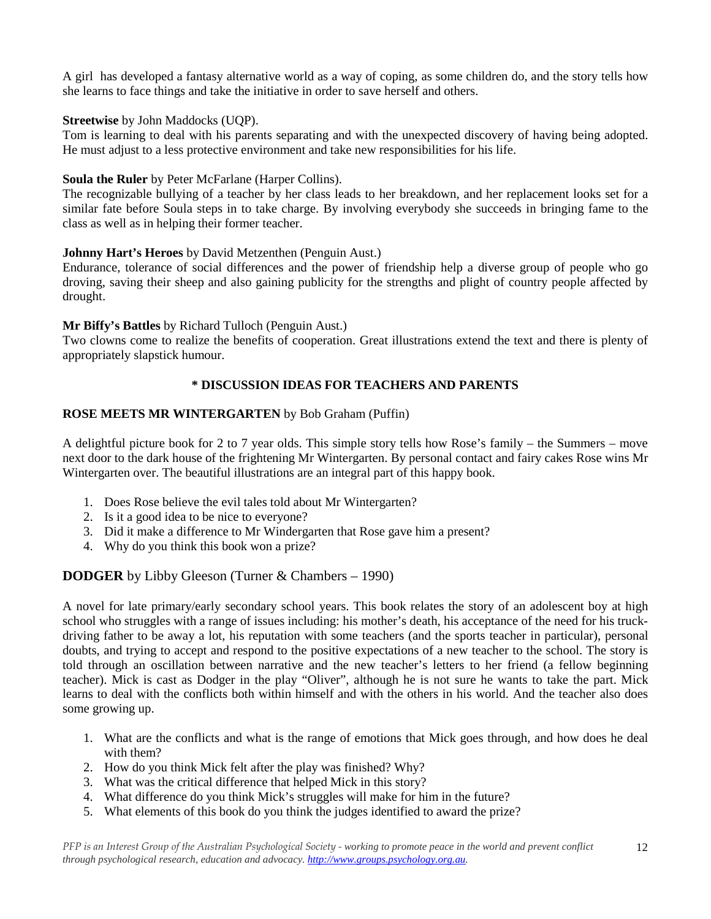A girl has developed a fantasy alternative world as a way of coping, as some children do, and the story tells how she learns to face things and take the initiative in order to save herself and others.

# **Streetwise** by John Maddocks (UQP).

Tom is learning to deal with his parents separating and with the unexpected discovery of having being adopted. He must adjust to a less protective environment and take new responsibilities for his life.

# **Soula the Ruler** by Peter McFarlane (Harper Collins).

The recognizable bullying of a teacher by her class leads to her breakdown, and her replacement looks set for a similar fate before Soula steps in to take charge. By involving everybody she succeeds in bringing fame to the class as well as in helping their former teacher.

# **Johnny Hart's Heroes** by David Metzenthen (Penguin Aust.)

Endurance, tolerance of social differences and the power of friendship help a diverse group of people who go droving, saving their sheep and also gaining publicity for the strengths and plight of country people affected by drought.

# **Mr Biffy's Battles** by Richard Tulloch (Penguin Aust.)

Two clowns come to realize the benefits of cooperation. Great illustrations extend the text and there is plenty of appropriately slapstick humour.

# **\* DISCUSSION IDEAS FOR TEACHERS AND PARENTS**

# **ROSE MEETS MR WINTERGARTEN** by Bob Graham (Puffin)

A delightful picture book for 2 to 7 year olds. This simple story tells how Rose's family – the Summers – move next door to the dark house of the frightening Mr Wintergarten. By personal contact and fairy cakes Rose wins Mr Wintergarten over. The beautiful illustrations are an integral part of this happy book.

- 1. Does Rose believe the evil tales told about Mr Wintergarten?
- 2. Is it a good idea to be nice to everyone?
- 3. Did it make a difference to Mr Windergarten that Rose gave him a present?
- 4. Why do you think this book won a prize?

# **DODGER** by Libby Gleeson (Turner & Chambers – 1990)

A novel for late primary/early secondary school years. This book relates the story of an adolescent boy at high school who struggles with a range of issues including: his mother's death, his acceptance of the need for his truckdriving father to be away a lot, his reputation with some teachers (and the sports teacher in particular), personal doubts, and trying to accept and respond to the positive expectations of a new teacher to the school. The story is told through an oscillation between narrative and the new teacher's letters to her friend (a fellow beginning teacher). Mick is cast as Dodger in the play "Oliver", although he is not sure he wants to take the part. Mick learns to deal with the conflicts both within himself and with the others in his world. And the teacher also does some growing up.

1. What are the conflicts and what is the range of emotions that Mick goes through, and how does he deal with them?

12

- 2. How do you think Mick felt after the play was finished? Why?
- 3. What was the critical difference that helped Mick in this story?
- 4. What difference do you think Mick's struggles will make for him in the future?
- 5. What elements of this book do you think the judges identified to award the prize?